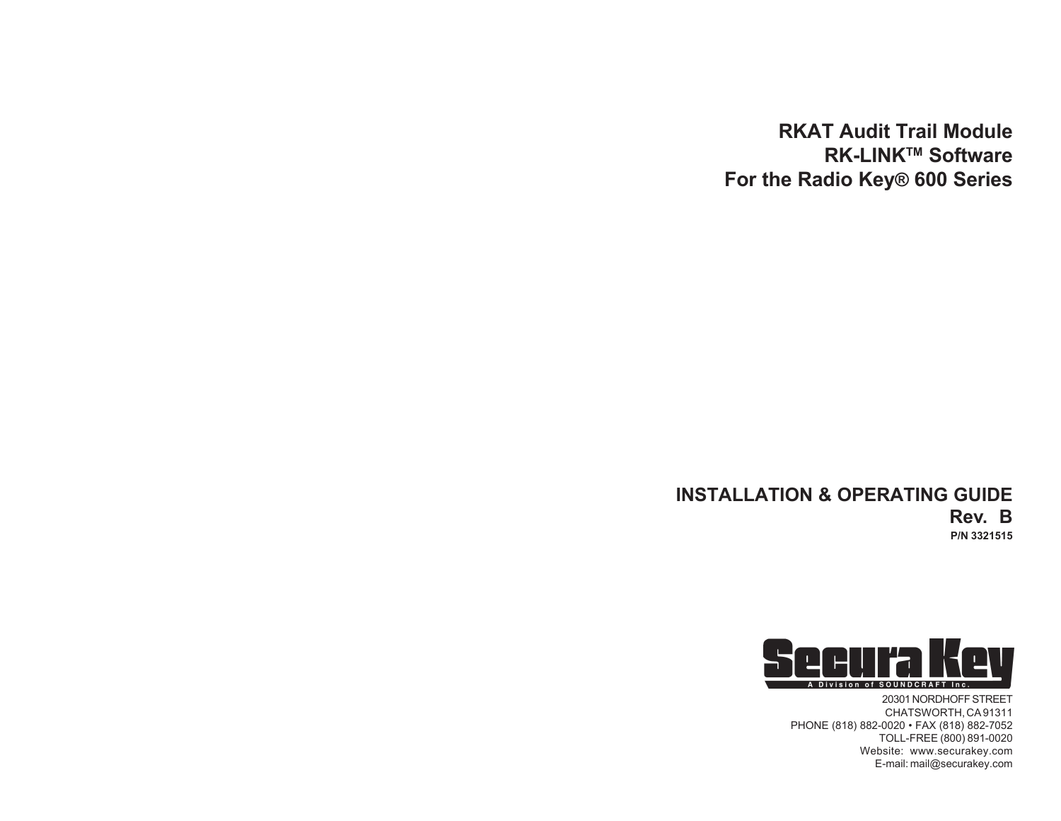# **RKAT Audit Trail Module RK-LINKTM Software For the Radio Key® 600 Series**

# **INSTALLATION & OPERATING GUIDE Rev. B P/N 3321515**



20301 NORDHOFF STREET CHATSWORTH, CA 91311 PHONE (818) 882-0020 • FAX (818) 882-7052 TOLL-FREE (800) 891-0020 Website: www.securakey.com E-mail: mail@securakey.com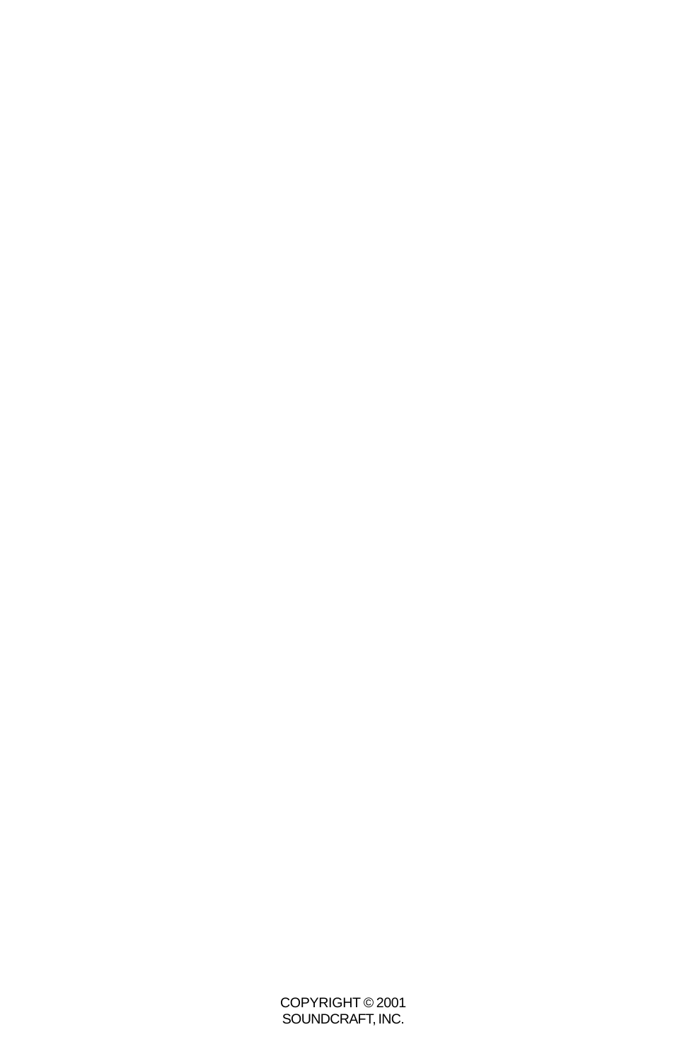COPYRIGHT © 2001 SOUNDCRAFT, INC.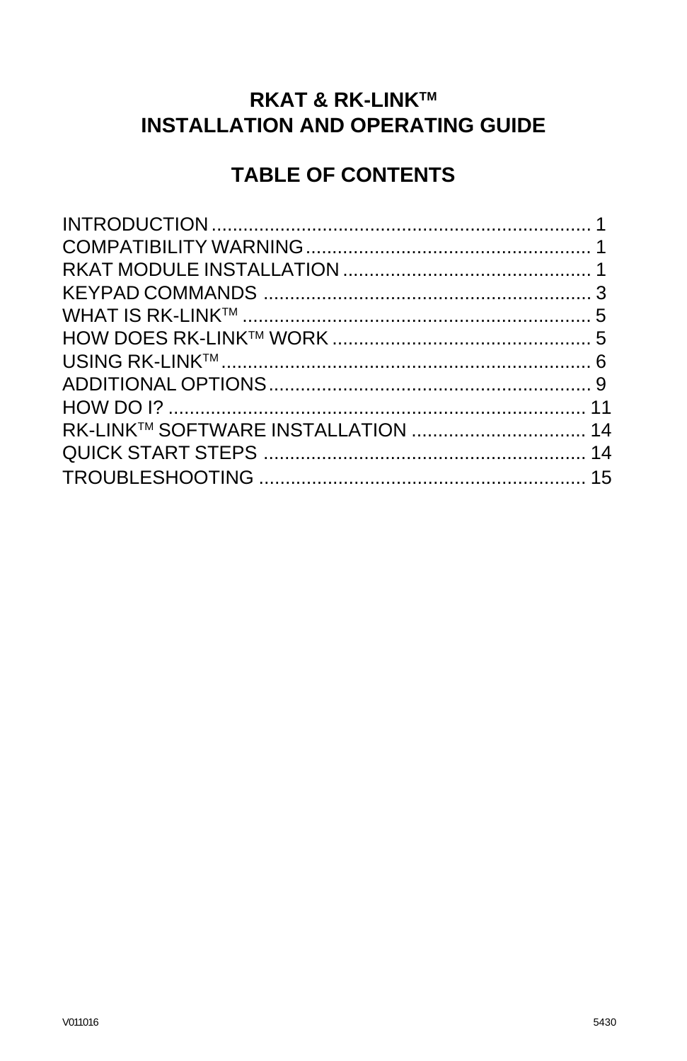# **RKAT & RK-LINK™ INSTALLATION AND OPERATING GUIDE**

# **TABLE OF CONTENTS**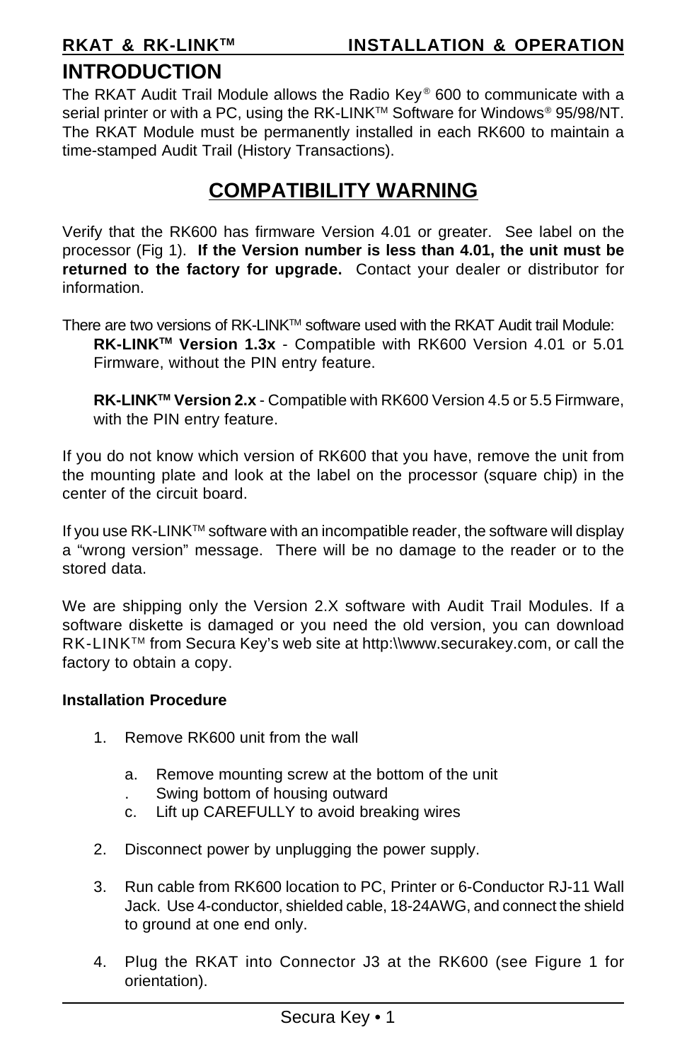# **INTRODUCTION**

The RKAT Audit Trail Module allows the Radio Key® 600 to communicate with a serial printer or with a PC, using the RK-LINK™ Software for Windows® 95/98/NT. The RKAT Module must be permanently installed in each RK600 to maintain a time-stamped Audit Trail (History Transactions).

# **COMPATIBILITY WARNING**

Verify that the RK600 has firmware Version 4.01 or greater. See label on the processor (Fig 1). **If the Version number is less than 4.01, the unit must be returned to the factory for upgrade.** Contact your dealer or distributor for information.

There are two versions of RK-LINK™ software used with the RKAT Audit trail Module:

**RK-LINKTM Version 1.3x** - Compatible with RK600 Version 4.01 or 5.01 Firmware, without the PIN entry feature.

**RK-LINKTM Version 2.x** - Compatible with RK600 Version 4.5 or 5.5 Firmware, with the PIN entry feature.

If you do not know which version of RK600 that you have, remove the unit from the mounting plate and look at the label on the processor (square chip) in the center of the circuit board.

If you use  $RK$ -LIN $K^{TM}$  software with an incompatible reader, the software will display a "wrong version" message. There will be no damage to the reader or to the stored data.

We are shipping only the Version 2.X software with Audit Trail Modules. If a software diskette is damaged or you need the old version, you can download RK-LINKTM from Secura Key's web site at http:\\www.securakey.com, or call the factory to obtain a copy.

### **Installation Procedure**

- 1. Remove RK600 unit from the wall
	- a. Remove mounting screw at the bottom of the unit
	- . Swing bottom of housing outward
	- c. Lift up CAREFULLY to avoid breaking wires
- 2. Disconnect power by unplugging the power supply.
- 3. Run cable from RK600 location to PC, Printer or 6-Conductor RJ-11 Wall Jack. Use 4-conductor, shielded cable, 18-24AWG, and connect the shield to ground at one end only.
- 4. Plug the RKAT into Connector J3 at the RK600 (see Figure 1 for orientation).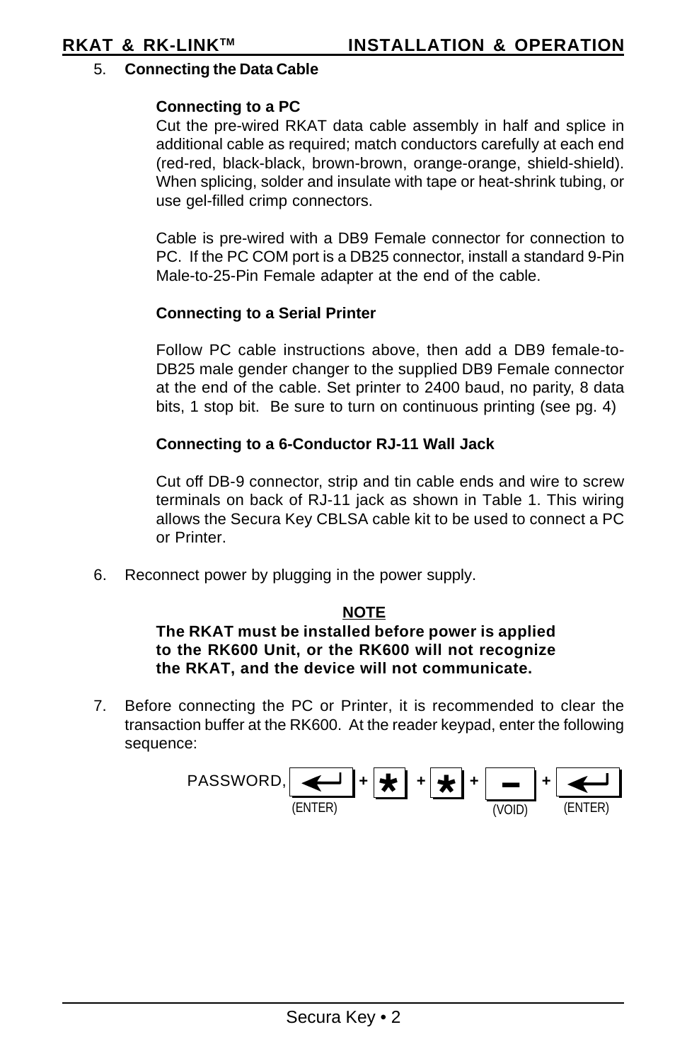### 5. **Connecting the Data Cable**

### **Connecting to a PC**

Cut the pre-wired RKAT data cable assembly in half and splice in additional cable as required; match conductors carefully at each end (red-red, black-black, brown-brown, orange-orange, shield-shield). When splicing, solder and insulate with tape or heat-shrink tubing, or use gel-filled crimp connectors.

Cable is pre-wired with a DB9 Female connector for connection to PC. If the PC COM port is a DB25 connector, install a standard 9-Pin Male-to-25-Pin Female adapter at the end of the cable.

### **Connecting to a Serial Printer**

Follow PC cable instructions above, then add a DB9 female-to-DB25 male gender changer to the supplied DB9 Female connector at the end of the cable. Set printer to 2400 baud, no parity, 8 data bits, 1 stop bit. Be sure to turn on continuous printing (see pg. 4)

### **Connecting to a 6-Conductor RJ-11 Wall Jack**

Cut off DB-9 connector, strip and tin cable ends and wire to screw terminals on back of RJ-11 jack as shown in Table 1. This wiring allows the Secura Key CBLSA cable kit to be used to connect a PC or Printer.

6. Reconnect power by plugging in the power supply.

### **NOTE**

### **The RKAT must be installed before power is applied to the RK600 Unit, or the RK600 will not recognize the RKAT, and the device will not communicate.**

7. Before connecting the PC or Printer, it is recommended to clear the transaction buffer at the RK600. At the reader keypad, enter the following sequence:

$$
\text{PASSWORD}, \underbrace{\boxed{\leftarrow}}_{\text{(ENTER)}} + \underbrace{\boxed{\bigstar}}_{\text{I}} + \underbrace{\boxed{\bigstar}}_{\text{VOLD}} + \underbrace{\boxed{\longleftarrow}}_{\text{(ENTER)}}
$$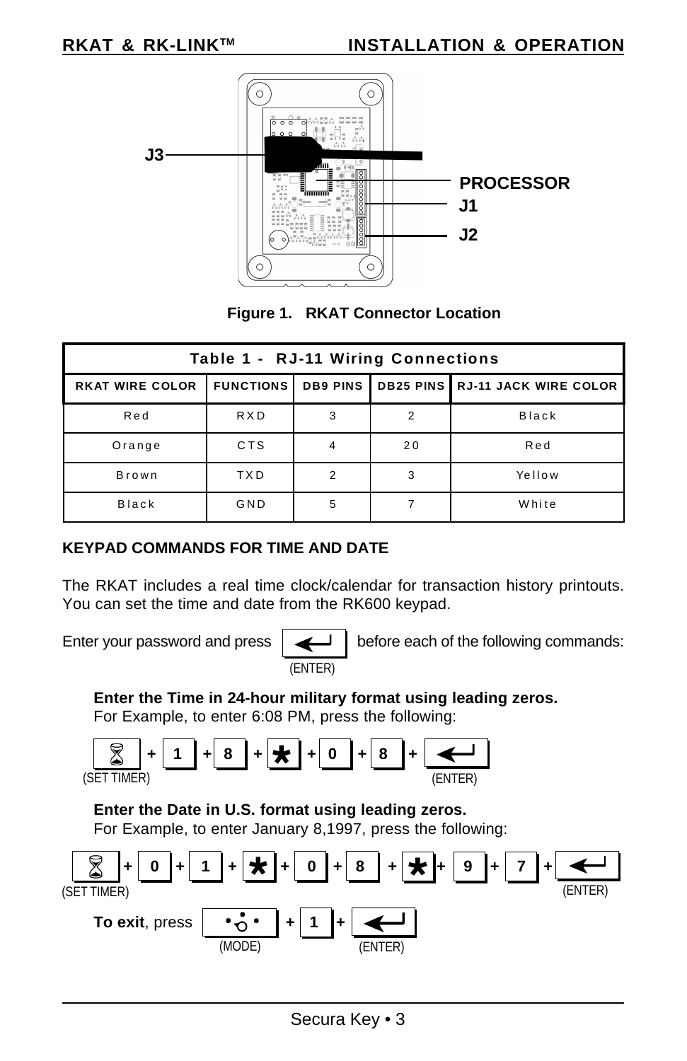



| Table 1 - RJ-11 Wiring Connections |                  |                 |    |                                          |  |  |
|------------------------------------|------------------|-----------------|----|------------------------------------------|--|--|
| <b>RKAT WIRE COLOR</b>             | <b>FUNCTIONS</b> | <b>DB9 PINS</b> |    | <b>DB25 PINS   RJ-11 JACK WIRE COLOR</b> |  |  |
| Red                                | <b>RXD</b>       | 3               | 2  | <b>Black</b>                             |  |  |
| Orange                             | <b>CTS</b>       |                 | 20 | Red                                      |  |  |
| Brown                              | <b>TXD</b>       | 2               | 3  | Yellow                                   |  |  |
| <b>Black</b>                       | GND              | 5               |    | White                                    |  |  |

### **KEYPAD COMMANDS FOR TIME AND DATE**

The RKAT includes a real time clock/calendar for transaction history printouts. You can set the time and date from the RK600 keypad.

Enter your password and press before each of the following commands:

**Enter the Time in 24-hour military format using leading zeros.**

(ENTER)

For Example, to enter 6:08 PM, press the following:

$$
\boxed{\text{S}} + \boxed{1} + \boxed{8} + \boxed{9} + \boxed{8} + \boxed{0} + \boxed{8} + \boxed{\text{C}}
$$

### **Enter the Date in U.S. format using leading zeros.**

For Example, to enter January 8,1997, press the following:

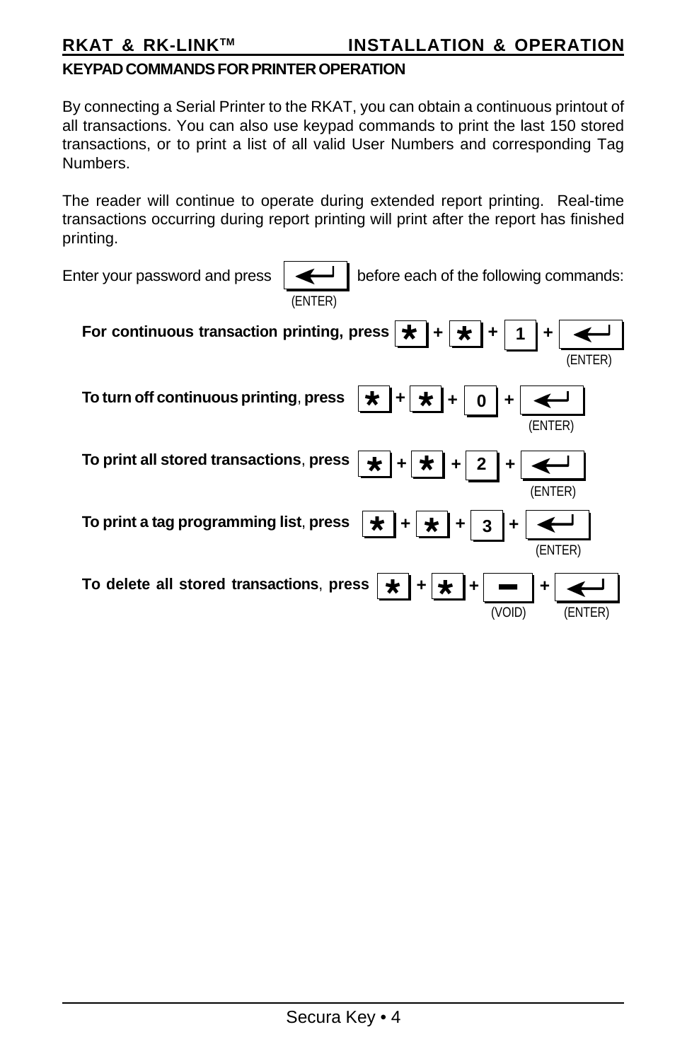### **KEYPAD COMMANDS FOR PRINTER OPERATION**

By connecting a Serial Printer to the RKAT, you can obtain a continuous printout of all transactions. You can also use keypad commands to print the last 150 stored transactions, or to print a list of all valid User Numbers and corresponding Tag Numbers.

The reader will continue to operate during extended report printing. Real-time transactions occurring during report printing will print after the report has finished printing.

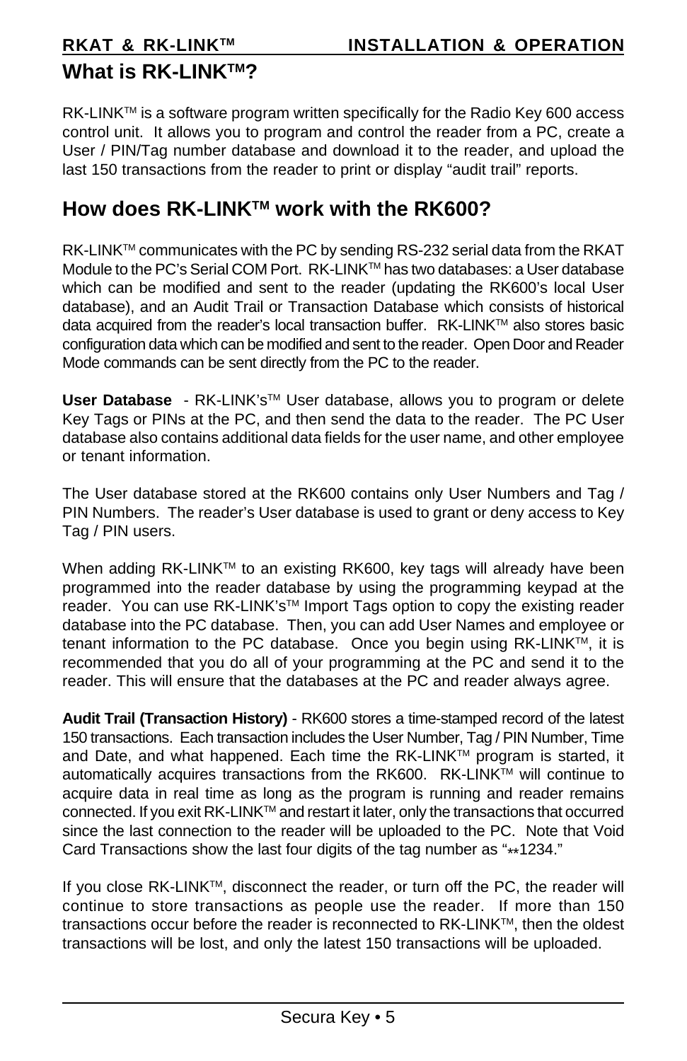# **What is RK-I INK™?**

RK-LINK™ is a software program written specifically for the Radio Key 600 access control unit. It allows you to program and control the reader from a PC, create a User / PIN/Tag number database and download it to the reader, and upload the last 150 transactions from the reader to print or display "audit trail" reports.

## **How does RK-LINKTM work with the RK600?**

RK-LINK<sup>TM</sup> communicates with the PC by sending RS-232 serial data from the RKAT Module to the PC's Serial COM Port. RK-LINKTM has two databases: a User database which can be modified and sent to the reader (updating the RK600's local User database), and an Audit Trail or Transaction Database which consists of historical data acquired from the reader's local transaction buffer. RK-LINK™ also stores basic configuration data which can be modified and sent to the reader. Open Door and Reader Mode commands can be sent directly from the PC to the reader.

**User Database** - RK-LINK's™ User database, allows you to program or delete Key Tags or PINs at the PC, and then send the data to the reader. The PC User database also contains additional data fields for the user name, and other employee or tenant information.

The User database stored at the RK600 contains only User Numbers and Tag / PIN Numbers. The reader's User database is used to grant or deny access to Key Tag / PIN users.

When adding RK-LINK™ to an existing RK600, key tags will already have been programmed into the reader database by using the programming keypad at the reader. You can use RK-LINK's™ Import Tags option to copy the existing reader database into the PC database. Then, you can add User Names and employee or tenant information to the PC database. Once you begin using RK-LINK™, it is recommended that you do all of your programming at the PC and send it to the reader. This will ensure that the databases at the PC and reader always agree.

**Audit Trail (Transaction History)** - RK600 stores a time-stamped record of the latest 150 transactions. Each transaction includes the User Number, Tag / PIN Number, Time and Date, and what happened. Each time the RK-LINKTM program is started, it automatically acquires transactions from the RK600. RK-LINK™ will continue to acquire data in real time as long as the program is running and reader remains connected. If you exit RK-LINKTM and restart it later, only the transactions that occurred since the last connection to the reader will be uploaded to the PC. Note that Void Card Transactions show the last four digits of the tag number as "\*\*1234."

If you close RK-LINKTM, disconnect the reader, or turn off the PC, the reader will continue to store transactions as people use the reader. If more than 150 transactions occur before the reader is reconnected to RK-LINK™, then the oldest transactions will be lost, and only the latest 150 transactions will be uploaded.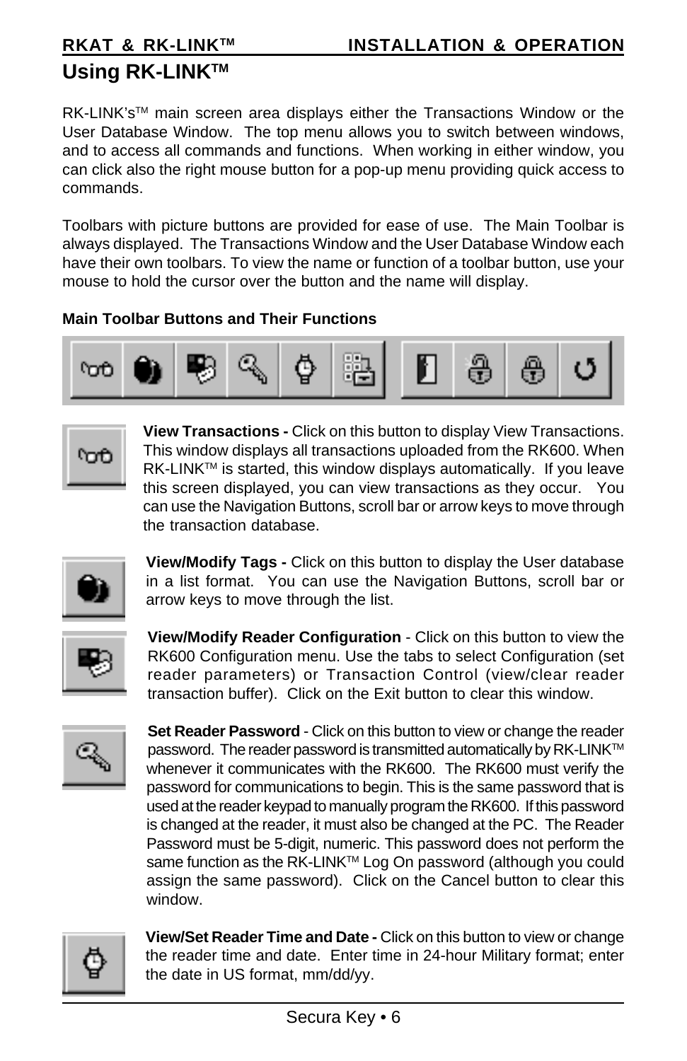# **Using RK-LINKTM**

RK-LINK's™ main screen area displays either the Transactions Window or the User Database Window. The top menu allows you to switch between windows, and to access all commands and functions. When working in either window, you can click also the right mouse button for a pop-up menu providing quick access to commands.

Toolbars with picture buttons are provided for ease of use. The Main Toolbar is always displayed. The Transactions Window and the User Database Window each have their own toolbars. To view the name or function of a toolbar button, use your mouse to hold the cursor over the button and the name will display.

### **Main Toolbar Buttons and Their Functions**



ľoť

**View Transactions -** Click on this button to display View Transactions. This window displays all transactions uploaded from the RK600. When RK-LINK™ is started, this window displays automatically. If you leave this screen displayed, you can view transactions as they occur. You can use the Navigation Buttons, scroll bar or arrow keys to move through the transaction database.



**View/Modify Tags -** Click on this button to display the User database in a list format. You can use the Navigation Buttons, scroll bar or arrow keys to move through the list.



**View/Modify Reader Configuration** - Click on this button to view the RK600 Configuration menu. Use the tabs to select Configuration (set reader parameters) or Transaction Control (view/clear reader transaction buffer). Click on the Exit button to clear this window.



**Set Reader Password - Click on this button to view or change the reader** password. The reader password is transmitted automatically by RK-LINK™ whenever it communicates with the RK600. The RK600 must verify the password for communications to begin. This is the same password that is used at the reader keypad to manually program the RK600. If this password is changed at the reader, it must also be changed at the PC. The Reader Password must be 5-digit, numeric. This password does not perform the same function as the RK-LINK™ Log On password (although you could assign the same password). Click on the Cancel button to clear this window.



**View/Set Reader Time and Date -** Click on this button to view or change the reader time and date. Enter time in 24-hour Military format; enter the date in US format, mm/dd/yy.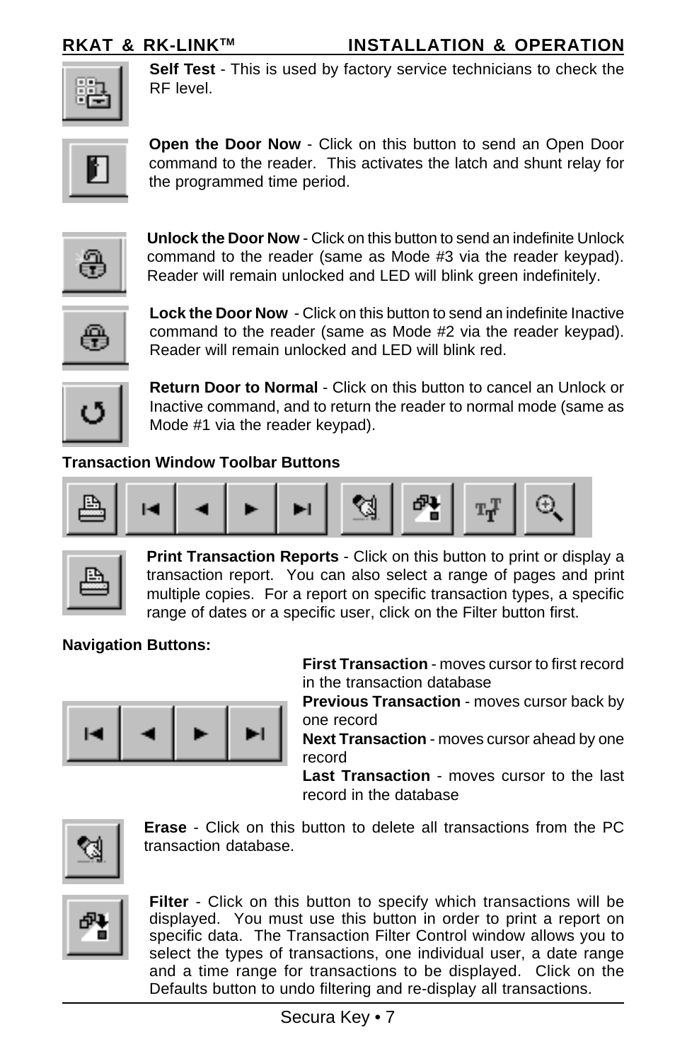**RKAT & RK-LINK™ INSTALLATION & OPERATION** 



**Self Test** - This is used by factory service technicians to check the RF level.



**Open the Door Now** - Click on this button to send an Open Door command to the reader. This activates the latch and shunt relay for the programmed time period.



**Unlock the Door Now** - Click on this button to send an indefinite Unlock command to the reader (same as Mode #3 via the reader keypad). Reader will remain unlocked and LED will blink green indefinitely.

$$
\bigoplus_{i=1}^{\lfloor \frac{m}{2} \rfloor}
$$

**Lock the Door Now** - Click on this button to send an indefinite Inactive command to the reader (same as Mode #2 via the reader keypad). Reader will remain unlocked and LED will blink red.



**Return Door to Normal** - Click on this button to cancel an Unlock or Inactive command, and to return the reader to normal mode (same as Mode #1 via the reader keypad).

### **Transaction Window Toolbar Buttons**





**Print Transaction Reports** - Click on this button to print or display a transaction report. You can also select a range of pages and print multiple copies. For a report on specific transaction types, a specific range of dates or a specific user, click on the Filter button first.

### **Navigation Buttons:**



**First Transaction** - moves cursor to first record in the transaction database

**Previous Transaction** - moves cursor back by one record

**Next Transaction** - moves cursor ahead by one record

**Last Transaction** - moves cursor to the last record in the database



**Erase** - Click on this button to delete all transactions from the PC transaction database.



**Filter** - Click on this button to specify which transactions will be displayed. You must use this button in order to print a report on specific data. The Transaction Filter Control window allows you to select the types of transactions, one individual user, a date range and a time range for transactions to be displayed. Click on the Defaults button to undo filtering and re-display all transactions.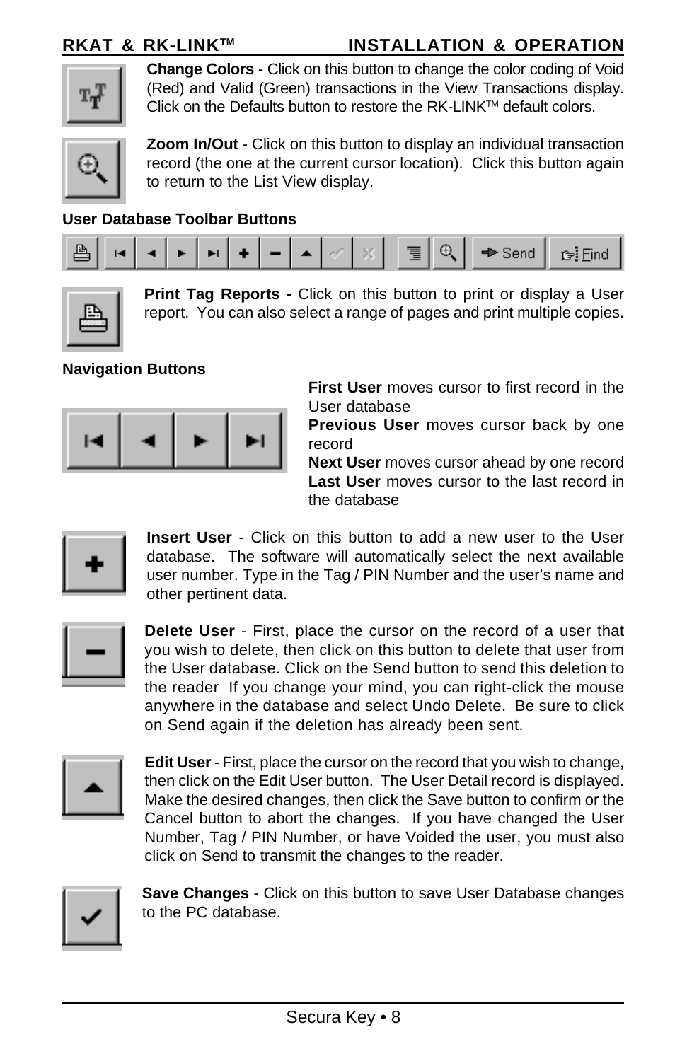**RKAT & RK-LINKTM INSTALLATION & OPERATION**

|--|

**Change Colors** - Click on this button to change the color coding of Void (Red) and Valid (Green) transactions in the View Transactions display. Click on the Defaults button to restore the RK-LINK™ default colors.



**Zoom In/Out** - Click on this button to display an individual transaction record (the one at the current cursor location). Click this button again to return to the List View display.

### **User Database Toolbar Buttons**





**Print Tag Reports -** Click on this button to print or display a User report. You can also select a range of pages and print multiple copies.

### **Navigation Buttons**



**First User** moves cursor to first record in the User database

**Previous User** moves cursor back by one record

**Next User** moves cursor ahead by one record **Last User** moves cursor to the last record in the database

$$
\left\vert \,\cdot\,\right\vert
$$

**Insert User** - Click on this button to add a new user to the User database. The software will automatically select the next available user number. Type in the Tag / PIN Number and the user's name and other pertinent data.

$$
\lfloor - \rfloor
$$

**Delete User** - First, place the cursor on the record of a user that you wish to delete, then click on this button to delete that user from the User database. Click on the Send button to send this deletion to the reader If you change your mind, you can right-click the mouse anywhere in the database and select Undo Delete. Be sure to click on Send again if the deletion has already been sent.



**Edit User** - First, place the cursor on the record that you wish to change, then click on the Edit User button. The User Detail record is displayed. Make the desired changes, then click the Save button to confirm or the Cancel button to abort the changes. If you have changed the User Number, Tag / PIN Number, or have Voided the user, you must also click on Send to transmit the changes to the reader.



**Save Changes** - Click on this button to save User Database changes to the PC database.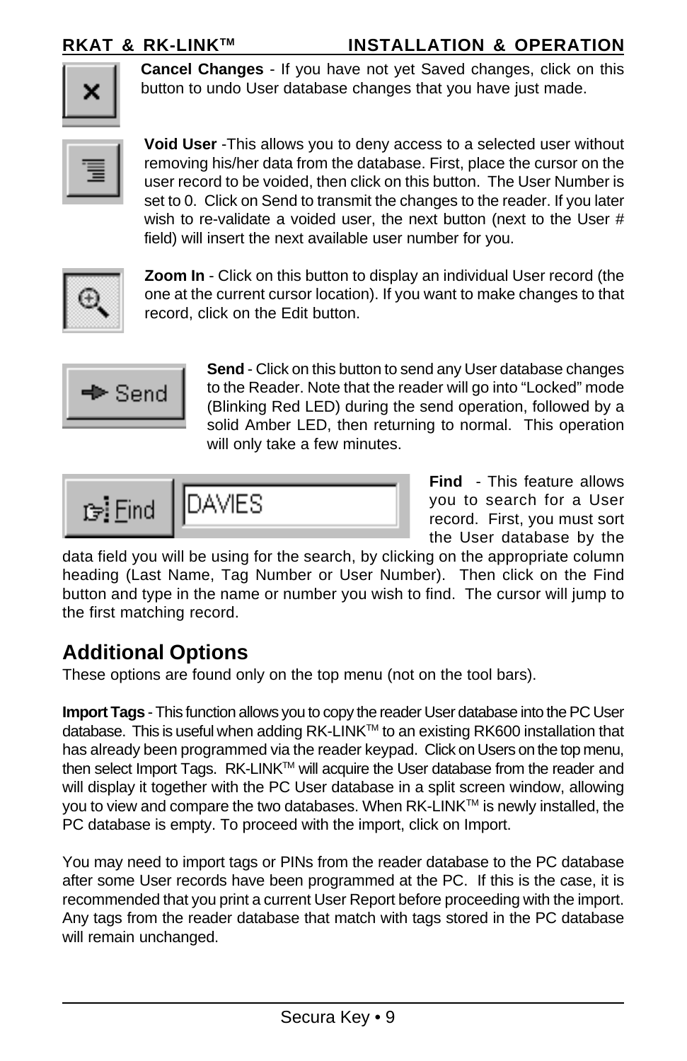**RKAT & RK-LINK™ INSTALLATION & OPERATION** 



**Cancel Changes** - If you have not yet Saved changes, click on this button to undo User database changes that you have just made.



**Void User** -This allows you to deny access to a selected user without removing his/her data from the database. First, place the cursor on the user record to be voided, then click on this button. The User Number is set to 0. Click on Send to transmit the changes to the reader. If you later wish to re-validate a voided user, the next button (next to the User # field) will insert the next available user number for you.



**Zoom In** - Click on this button to display an individual User record (the one at the current cursor location). If you want to make changes to that record, click on the Edit button.



**Send** - Click on this button to send any User database changes to the Reader. Note that the reader will go into "Locked" mode (Blinking Red LED) during the send operation, followed by a solid Amber LED, then returning to normal. This operation will only take a few minutes.

$$
\mathbb{F}^{\frac{1}{2}} \text{Find } \sqrt{\text{DAVIES}}
$$

**Find** - This feature allows you to search for a User record. First, you must sort the User database by the

data field you will be using for the search, by clicking on the appropriate column heading (Last Name, Tag Number or User Number). Then click on the Find button and type in the name or number you wish to find. The cursor will jump to the first matching record.

# **Additional Options**

These options are found only on the top menu (not on the tool bars).

**Import Tags** - This function allows you to copy the reader User database into the PC User database. This is useful when adding RK-LINKTM to an existing RK600 installation that has already been programmed via the reader keypad. Click on Users on the top menu, then select Import Tags. RK-LINK™ will acquire the User database from the reader and will display it together with the PC User database in a split screen window, allowing you to view and compare the two databases. When RK-LINK<sup>TM</sup> is newly installed, the PC database is empty. To proceed with the import, click on Import.

You may need to import tags or PINs from the reader database to the PC database after some User records have been programmed at the PC. If this is the case, it is recommended that you print a current User Report before proceeding with the import. Any tags from the reader database that match with tags stored in the PC database will remain unchanged.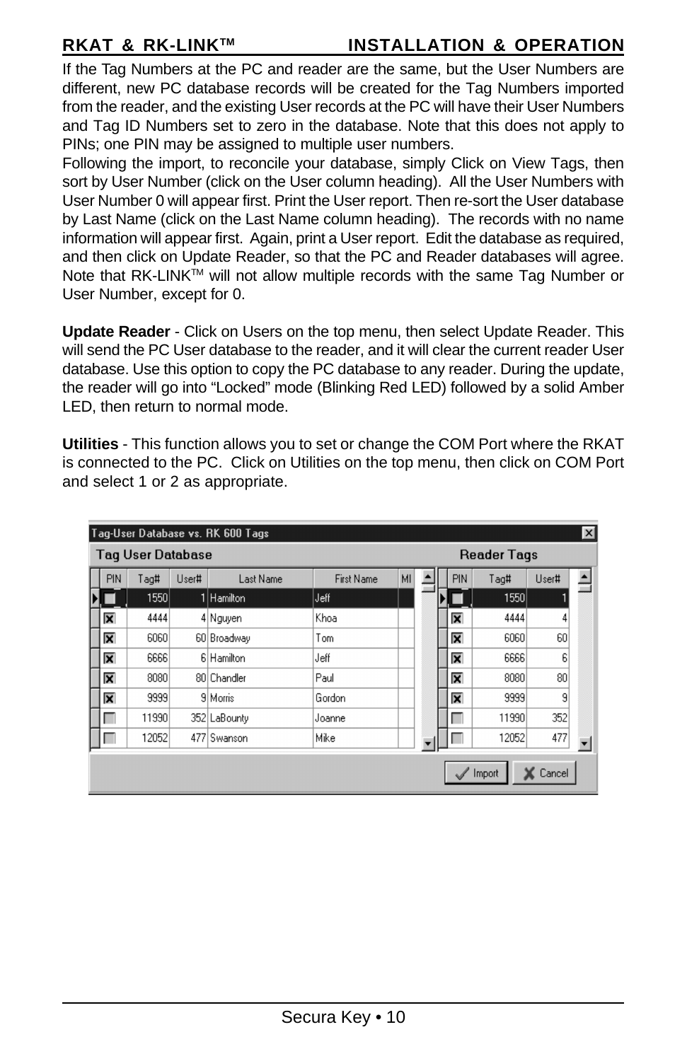### **RKAT & RK-LINKTM INSTALLATION & OPERATION**

If the Tag Numbers at the PC and reader are the same, but the User Numbers are different, new PC database records will be created for the Tag Numbers imported from the reader, and the existing User records at the PC will have their User Numbers and Tag ID Numbers set to zero in the database. Note that this does not apply to PINs; one PIN may be assigned to multiple user numbers.

Following the import, to reconcile your database, simply Click on View Tags, then sort by User Number (click on the User column heading). All the User Numbers with User Number 0 will appear first. Print the User report. Then re-sort the User database by Last Name (click on the Last Name column heading). The records with no name information will appear first. Again, print a User report. Edit the database as required, and then click on Update Reader, so that the PC and Reader databases will agree. Note that RK-LINK™ will not allow multiple records with the same Tag Number or User Number, except for 0.

**Update Reader** - Click on Users on the top menu, then select Update Reader. This will send the PC User database to the reader, and it will clear the current reader User database. Use this option to copy the PC database to any reader. During the update, the reader will go into "Locked" mode (Blinking Red LED) followed by a solid Amber LED, then return to normal mode.

**Utilities** - This function allows you to set or change the COM Port where the RKAT is connected to the PC. Click on Utilities on the top menu, then click on COM Port and select 1 or 2 as appropriate.

| $\vert x \vert$<br>Tag-User Database vs. RK 600 Tags |                         |       |       |              |                   |    |  |            |       |       |  |
|------------------------------------------------------|-------------------------|-------|-------|--------------|-------------------|----|--|------------|-------|-------|--|
| <b>Tag User Database</b><br><b>Reader Tags</b>       |                         |       |       |              |                   |    |  |            |       |       |  |
|                                                      | <b>PIN</b>              | Tag#  | User# | Last Name    | <b>First Name</b> | MI |  | <b>PIN</b> | Tag#  | User# |  |
|                                                      |                         | 1550  |       | Hamilton     | Jeff              |    |  |            | 1550  |       |  |
|                                                      | $\overline{\mathbf{x}}$ | 4444  |       | 4 Nguyen     | Khoa              |    |  | ⊠          | 4444  | 4     |  |
|                                                      | ⊠                       | 6060  |       | 60 Broadway  | Tom               |    |  | ⊠          | 6060  | 60    |  |
|                                                      | ⊠                       | 6666  |       | 6 Hamilton   | Jeff              |    |  | ⊠          | 6666  | 6     |  |
|                                                      | ⊠                       | 8080  |       | 80 Chandler  | Paul              |    |  | ⊠          | 8080  | 80    |  |
|                                                      | ⊠                       | 9999  |       | 9 Morris     | Gordon            |    |  | ⊠          | 9999  | 9     |  |
|                                                      |                         | 11990 |       | 352 LaBounty | Joanne            |    |  | ٠          | 11990 | 352   |  |
|                                                      |                         | 12052 | 477   | Swanson      | Mike              |    |  |            | 12052 | 477   |  |
| Import<br>Cancel                                     |                         |       |       |              |                   |    |  |            |       |       |  |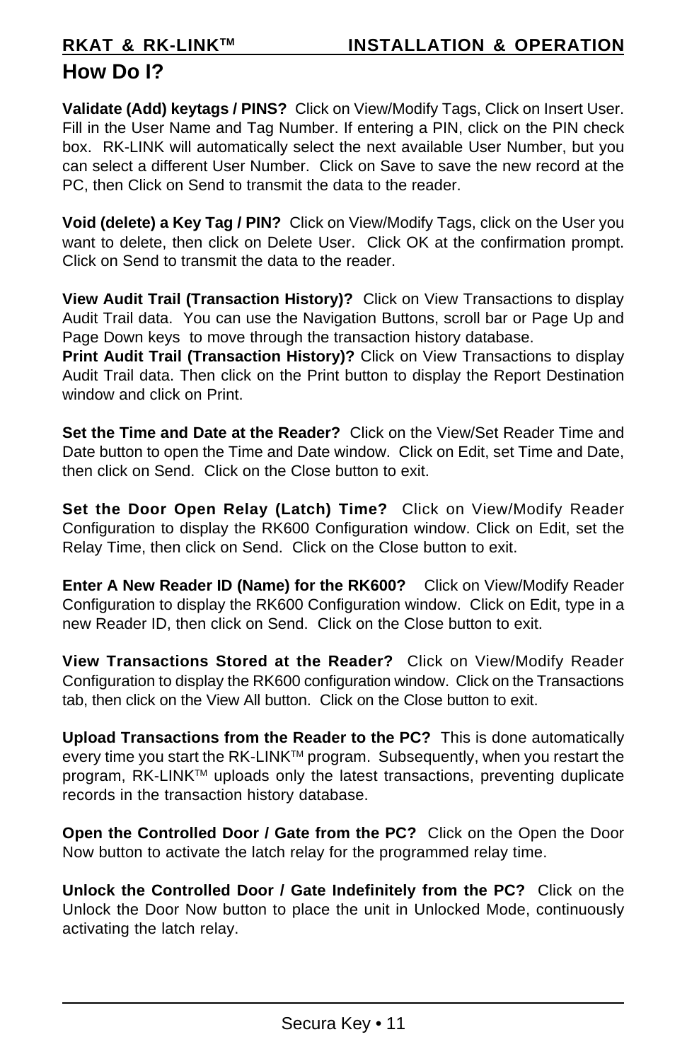# **How Do I?**

**Validate (Add) keytags / PINS?** Click on View/Modify Tags, Click on Insert User. Fill in the User Name and Tag Number. If entering a PIN, click on the PIN check box. RK-LINK will automatically select the next available User Number, but you can select a different User Number. Click on Save to save the new record at the PC, then Click on Send to transmit the data to the reader.

**Void (delete) a Key Tag / PIN?** Click on View/Modify Tags, click on the User you want to delete, then click on Delete User. Click OK at the confirmation prompt. Click on Send to transmit the data to the reader.

**View Audit Trail (Transaction History)?** Click on View Transactions to display Audit Trail data. You can use the Navigation Buttons, scroll bar or Page Up and Page Down keys to move through the transaction history database.

**Print Audit Trail (Transaction History)?** Click on View Transactions to display Audit Trail data. Then click on the Print button to display the Report Destination window and click on Print.

**Set the Time and Date at the Reader?** Click on the View/Set Reader Time and Date button to open the Time and Date window. Click on Edit, set Time and Date, then click on Send. Click on the Close button to exit.

**Set the Door Open Relay (Latch) Time?** Click on View/Modify Reader Configuration to display the RK600 Configuration window. Click on Edit, set the Relay Time, then click on Send. Click on the Close button to exit.

**Enter A New Reader ID (Name) for the RK600?** Click on View/Modify Reader Configuration to display the RK600 Configuration window. Click on Edit, type in a new Reader ID, then click on Send. Click on the Close button to exit.

**View Transactions Stored at the Reader?** Click on View/Modify Reader Configuration to display the RK600 configuration window. Click on the Transactions tab, then click on the View All button. Click on the Close button to exit.

**Upload Transactions from the Reader to the PC?** This is done automatically every time you start the RK-LINK™ program. Subsequently, when you restart the program, RK-LINK<sup>™</sup> uploads only the latest transactions, preventing duplicate records in the transaction history database.

**Open the Controlled Door / Gate from the PC?** Click on the Open the Door Now button to activate the latch relay for the programmed relay time.

**Unlock the Controlled Door / Gate Indefinitely from the PC?** Click on the Unlock the Door Now button to place the unit in Unlocked Mode, continuously activating the latch relay.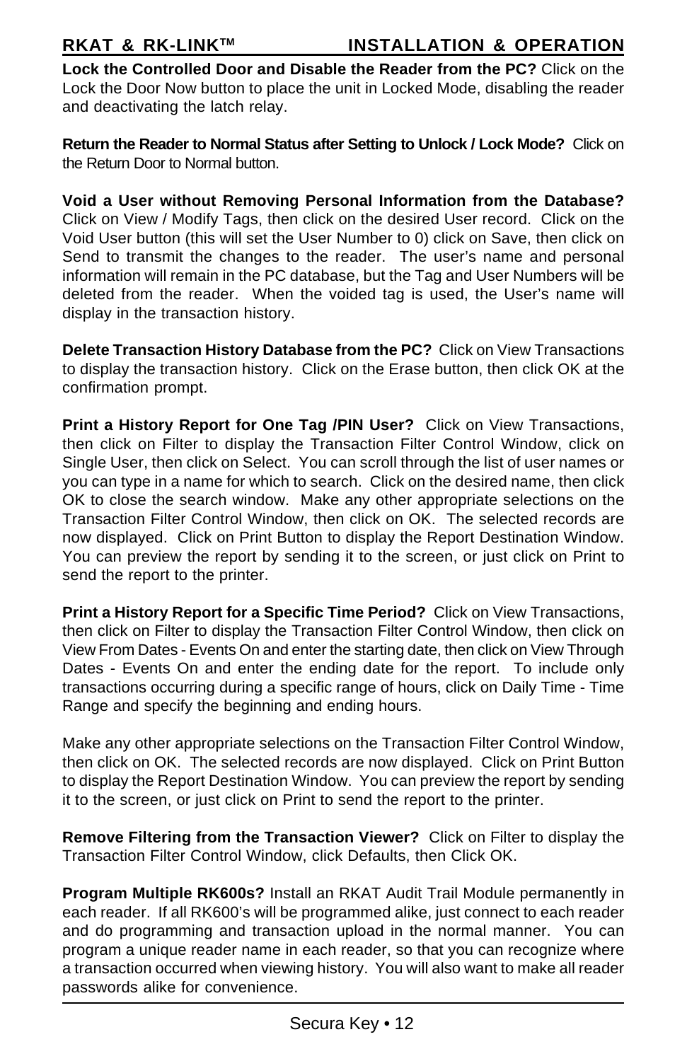**Lock the Controlled Door and Disable the Reader from the PC?** Click on the Lock the Door Now button to place the unit in Locked Mode, disabling the reader and deactivating the latch relay.

**Return the Reader to Normal Status after Setting to Unlock / Lock Mode?** Click on the Return Door to Normal button.

**Void a User without Removing Personal Information from the Database?** Click on View / Modify Tags, then click on the desired User record. Click on the Void User button (this will set the User Number to 0) click on Save, then click on Send to transmit the changes to the reader. The user's name and personal information will remain in the PC database, but the Tag and User Numbers will be deleted from the reader. When the voided tag is used, the User's name will display in the transaction history.

**Delete Transaction History Database from the PC?** Click on View Transactions to display the transaction history. Click on the Erase button, then click OK at the confirmation prompt.

**Print a History Report for One Tag /PIN User?** Click on View Transactions, then click on Filter to display the Transaction Filter Control Window, click on Single User, then click on Select. You can scroll through the list of user names or you can type in a name for which to search. Click on the desired name, then click OK to close the search window. Make any other appropriate selections on the Transaction Filter Control Window, then click on OK. The selected records are now displayed. Click on Print Button to display the Report Destination Window. You can preview the report by sending it to the screen, or just click on Print to send the report to the printer.

**Print a History Report for a Specific Time Period?** Click on View Transactions, then click on Filter to display the Transaction Filter Control Window, then click on View From Dates - Events On and enter the starting date, then click on View Through Dates - Events On and enter the ending date for the report. To include only transactions occurring during a specific range of hours, click on Daily Time - Time Range and specify the beginning and ending hours.

Make any other appropriate selections on the Transaction Filter Control Window, then click on OK. The selected records are now displayed. Click on Print Button to display the Report Destination Window. You can preview the report by sending it to the screen, or just click on Print to send the report to the printer.

**Remove Filtering from the Transaction Viewer?** Click on Filter to display the Transaction Filter Control Window, click Defaults, then Click OK.

**Program Multiple RK600s?** Install an RKAT Audit Trail Module permanently in each reader. If all RK600's will be programmed alike, just connect to each reader and do programming and transaction upload in the normal manner. You can program a unique reader name in each reader, so that you can recognize where a transaction occurred when viewing history. You will also want to make all reader passwords alike for convenience.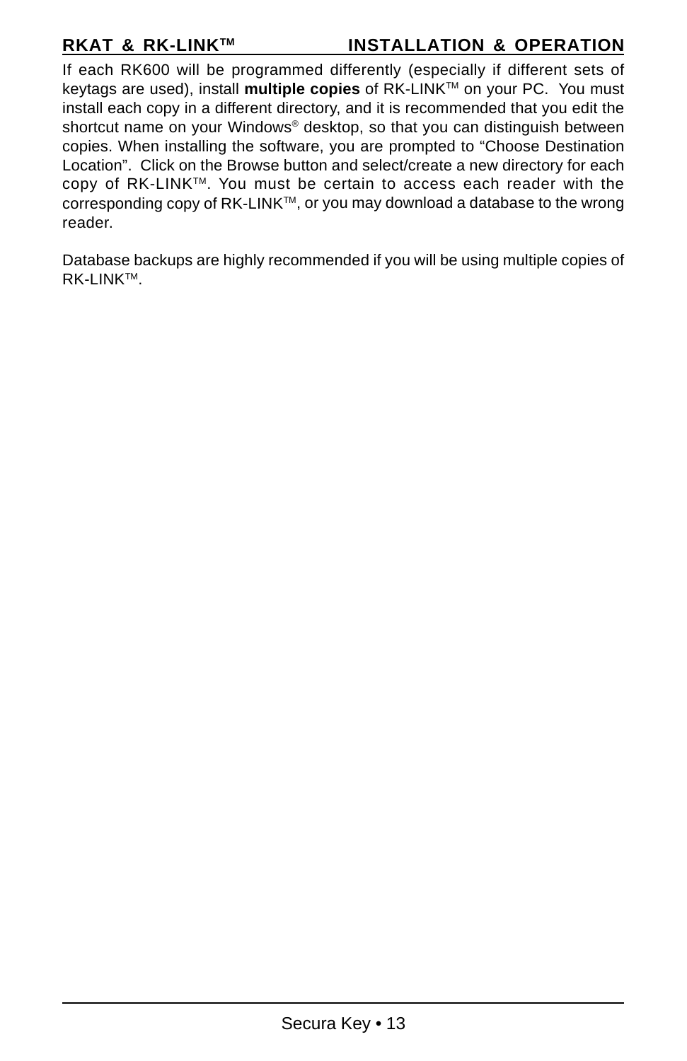### **RKAT & RK-LINK™ INSTALLATION & OPERATION**

If each RK600 will be programmed differently (especially if different sets of keytags are used), install **multiple copies** of RK-LINK™ on your PC. You must install each copy in a different directory, and it is recommended that you edit the shortcut name on your Windows® desktop, so that you can distinguish between copies. When installing the software, you are prompted to "Choose Destination Location". Click on the Browse button and select/create a new directory for each copy of RK-LINK™. You must be certain to access each reader with the corresponding copy of  $RK-LINK^{m}$ , or you may download a database to the wrong reader.

Database backups are highly recommended if you will be using multiple copies of RK-LINKTM.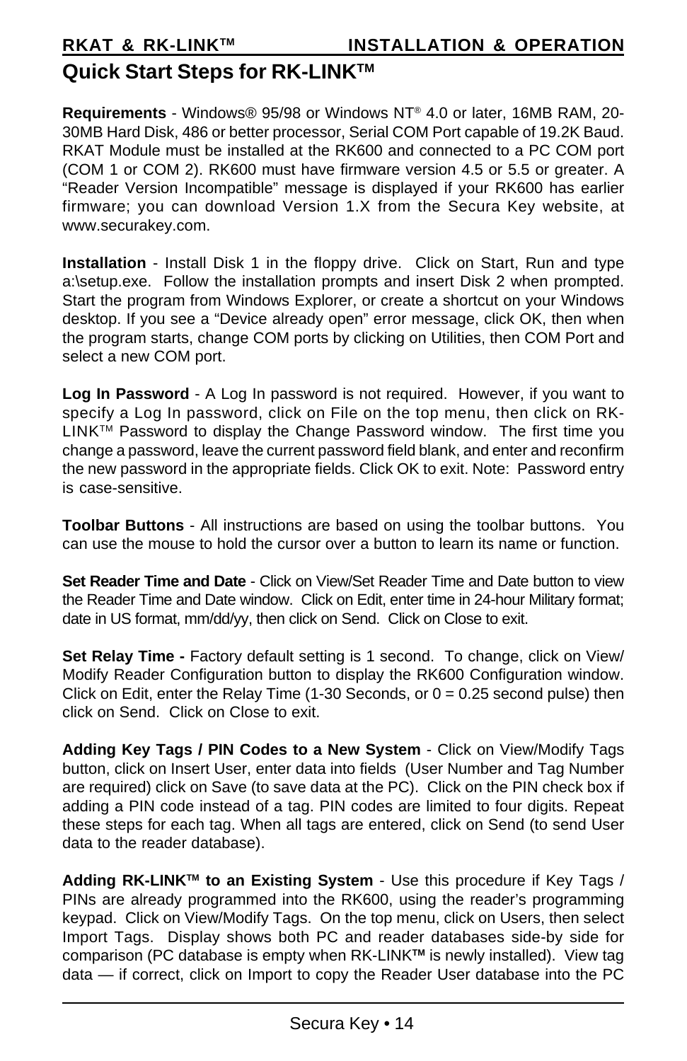# **Quick Start Steps for RK-LINKTM**

**Requirements** - Windows® 95/98 or Windows NT® 4.0 or later, 16MB RAM, 20- 30MB Hard Disk, 486 or better processor, Serial COM Port capable of 19.2K Baud. RKAT Module must be installed at the RK600 and connected to a PC COM port (COM 1 or COM 2). RK600 must have firmware version 4.5 or 5.5 or greater. A "Reader Version Incompatible" message is displayed if your RK600 has earlier firmware; you can download Version 1.X from the Secura Key website, at www.securakey.com.

**Installation** - Install Disk 1 in the floppy drive. Click on Start, Run and type a:\setup.exe. Follow the installation prompts and insert Disk 2 when prompted. Start the program from Windows Explorer, or create a shortcut on your Windows desktop. If you see a "Device already open" error message, click OK, then when the program starts, change COM ports by clicking on Utilities, then COM Port and select a new COM port.

**Log In Password** - A Log In password is not required. However, if you want to specify a Log In password, click on File on the top menu, then click on RK- $LINK^{TM}$  Password to display the Change Password window. The first time you change a password, leave the current password field blank, and enter and reconfirm the new password in the appropriate fields. Click OK to exit. Note: Password entry is case-sensitive.

**Toolbar Buttons** - All instructions are based on using the toolbar buttons. You can use the mouse to hold the cursor over a button to learn its name or function.

**Set Reader Time and Date** - Click on View/Set Reader Time and Date button to view the Reader Time and Date window. Click on Edit, enter time in 24-hour Military format; date in US format, mm/dd/yy, then click on Send. Click on Close to exit.

**Set Relay Time - Factory default setting is 1 second. To change, click on View/** Modify Reader Configuration button to display the RK600 Configuration window. Click on Edit, enter the Relay Time  $(1-30$  Seconds, or  $0 = 0.25$  second pulse) then click on Send. Click on Close to exit.

**Adding Key Tags / PIN Codes to a New System** - Click on View/Modify Tags button, click on Insert User, enter data into fields (User Number and Tag Number are required) click on Save (to save data at the PC). Click on the PIN check box if adding a PIN code instead of a tag. PIN codes are limited to four digits. Repeat these steps for each tag. When all tags are entered, click on Send (to send User data to the reader database).

**Adding RK-LINKTM to an Existing System** - Use this procedure if Key Tags / PINs are already programmed into the RK600, using the reader's programming keypad. Click on View/Modify Tags. On the top menu, click on Users, then select Import Tags. Display shows both PC and reader databases side-by side for comparison (PC database is empty when RK-LINK**TM** is newly installed). View tag data — if correct, click on Import to copy the Reader User database into the PC